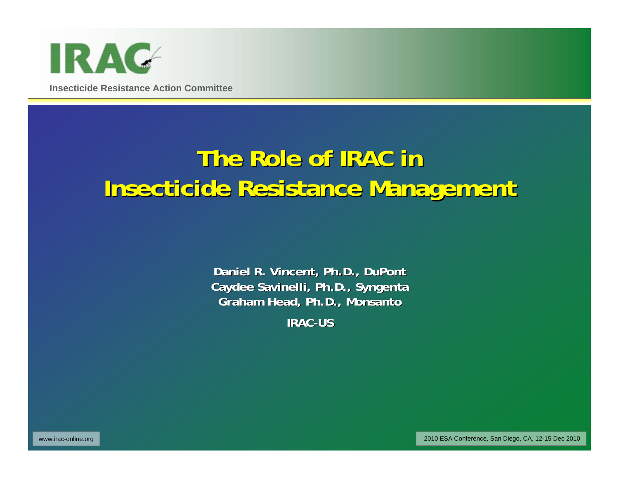

# **The Role of IRAC in Insecticide Resistance Management Insecticide Resistance Management**

**Daniel R. Vinc Daniel R. Vincent, Ph.D., DuPont ent, Ph.D., DuPont Caydee Savinelli, Ph.D., Syngenta Graham H Graham Head, Ph.D., Monsanto ad, Ph.D., Monsanto**

**IRAC-US**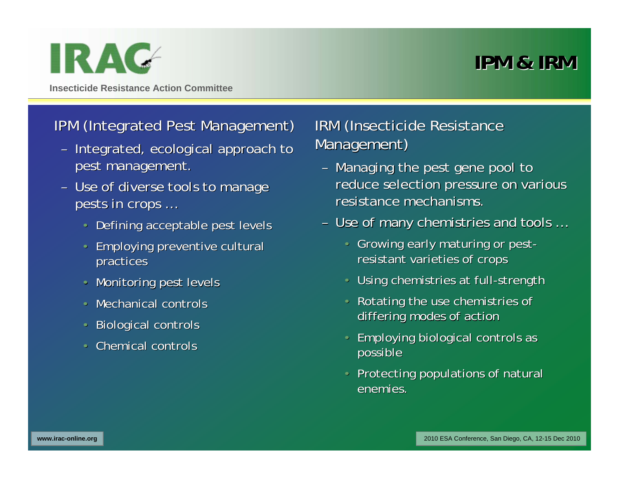## **IPM & IRM IPM & IRM**

**Insecticide Resistance Action Committee**

IR AC

#### IPM (Integrated Pest Management)

- Integrated, ecological approach to pest management.
- Use of diverse tools to manage pests in crops ...
	- $\cdot$  Defining acceptable pest levels
	- •Employing preventive cultural Employing preventive cultural practices
	- Monitoring pest levels
	- Mechanical controls
	- $\cdot$  Biological controls
	- Chemical controls

#### IRM (Insecticide Resistance Management)

- Managing the pest gene pool to reduce selection pressure on various resistance mechanisms.
- Use of many chemistries and tools ...
	- Growing early maturing or pestresistant varieties of crops
	- Using chemistries at full-strength
	- Rotating the use chemistries of differing modes of action
	- Employing biological controls as possible possible
	- Protecting populations of natural enemies.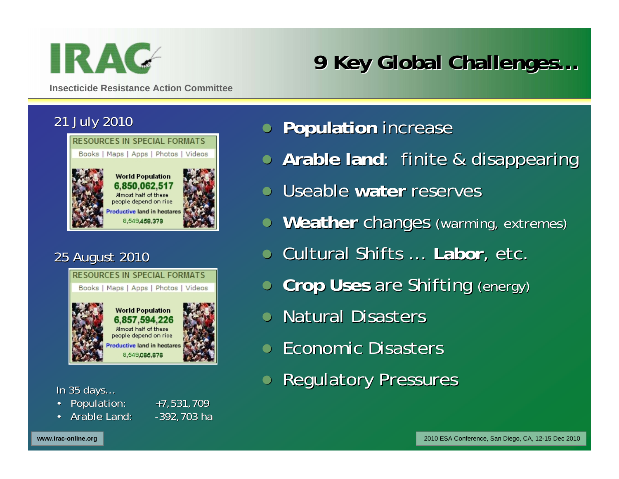

# **9 Key Global Challenges 9 Key Global Challenges…**

**Insecticide Resistance Action Committee**

#### 21 July 2010



#### 25 August 2010 25 August 2010



In 35 days…

- Population: +7,531,709
- •Arable Land: -392,703 ha

- **Population increase**
- **Arable land**: finite & disappearing
- **Useable water reserves**
- **Weather changes (warming, extremes)**
- **Cultural Shifts … Labor, etc.**
- **Crop Uses are Shifting (energy)**
- Natural Disasters
- Economic Disasters
- $\bullet$ **Regulatory Pressures**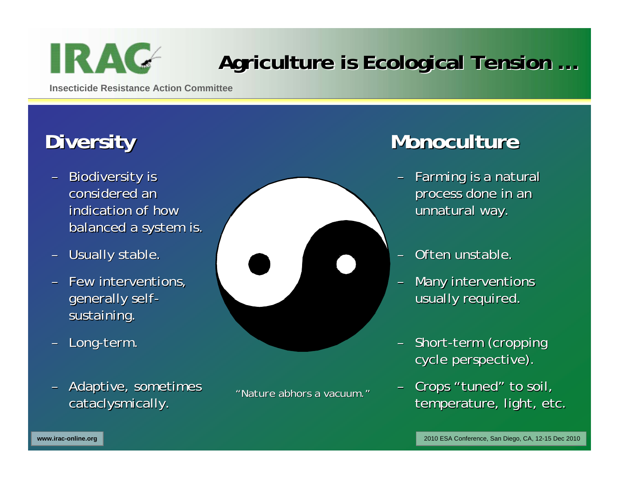

# Agriculture is Ecological Tension ...

**Insecticide Resistance Action Committee**

# **Diversity Diversity**

- Biodiversity is considered an indication of how balanced a system is.
- Usually stable.
- Few interventions, generally selfsustaining.
- –Long-term.
- –Adaptive, sometimes Adaptive, sometimes cataclysmically.



*"Nature abhors a vacuum. Nature abhors a vacuum."*

## **Monoculture Monoculture**

- Farming is a natural process done in an unnatural way.
- Often unstable.
- Many interventions usually required.
- Short-term (cropping cycle perspective).
- Crops "tuned" to soil, temperature, light, etc.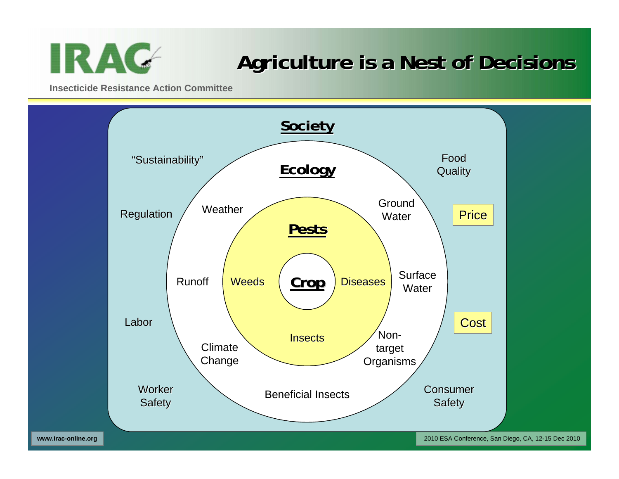

## **Agriculture is a Nest of Decisions Agriculture is a Nest of Decisions**

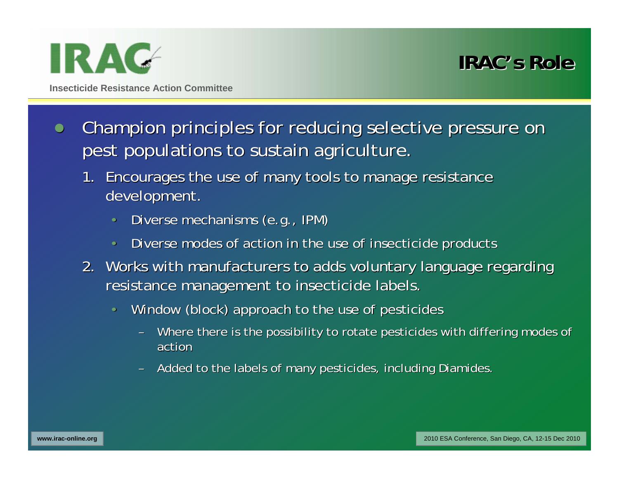

- $\bullet$  Champion principles for reducing selective pressure on Champion principles for reducing selective pressure on pest populations to sustain agriculture.
	- 1. Encourages the use of many tools to manage resistance development.
		- Diverse mechanisms (e.g., IPM)
		- Diverse modes of action in the use of insecticide products
	- 2. Works with manufacturers to adds voluntary language regarding resistance management to insecticide labels.
		- Window (block) approach to the use of pesticides
			- Where there is the possibility to rotate pesticides with differing modes of action
			- Added to the labels of many pesticides, including Diamides.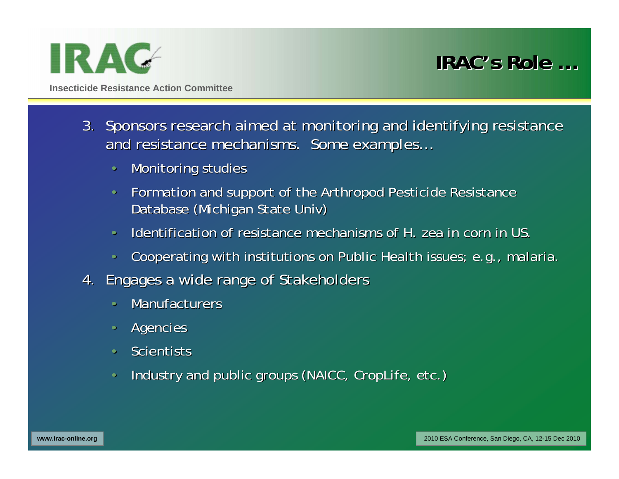

**IRAC'sRole …**

- 3. Sponsors research aimed at monitoring and identifying resistance and resistance mechanisms. Some examples...
	- Monitoring studies
	- Formation and support of the Arthropod Pesticide Resistance Database (Michigan State Univ)
	- Identification of resistance mechanisms of *H. zea* in corn in US.
	- Cooperating with institutions on Public Health issues; e.g., malaria.
- 4. Engages a wide range of Stakeholders
	- Manufacturers
	- Agencies
	- Scientists
	- Industry and public groups (NAICC, CropLife, etc.)  $\overline{\phantom{a}}$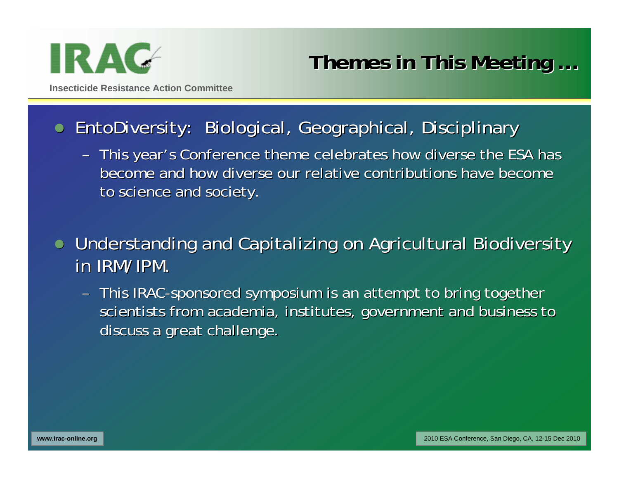

**Themes in This Meeting ...** 

**Insecticide Resistance Action Committee**

#### $\bullet$ EntoDiversity: Biological, Geographical, Disciplinary

- This year's Conference theme celebrates how diverse the ESA has become and how diverse our relative contributions have become to science and society.
- $\bullet$ Understanding and Capitalizing on Agricultural Biodiversity in IRM/IPM.
	- This IRAC-sponsored symposium is an attempt to bring together scientists from academia, institutes, government and business to discuss a great challenge.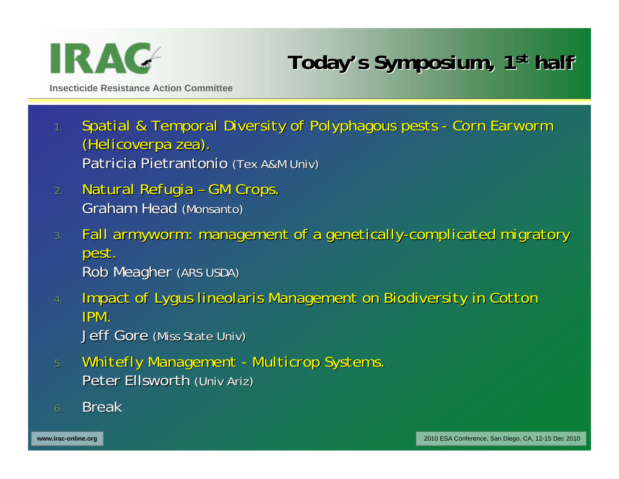

## Today's Symposium, 1<sup>st</sup> half

- 1. Spatial & Temporal Diversity of Polyphagous pests Corn Earworm *(Helicoverpa zea).* Patricia Pietrantonio (Tex A&M Univ)
- *2.Natural Natural Refugia Refugia –GM Crops. GM Crops.* Graham Head (Monsanto)
- *3.Fall armyworm: management of a genetically Fall armyworm: management of a genetically-complicated migratory complicated migratory pest.* Rob Meagher (ARS USDA)
- *4.Impact of pact of Lyguslineolaris lineolaris Management on Biodiversity in Cotton Management on Biodiversity in Cotton IPM.*Jeff Gore (Miss State Univ)
- 5. Whitefly Management Multicrop Systems. Peter Ellsworth (Univ Ariz)
- 6.Break